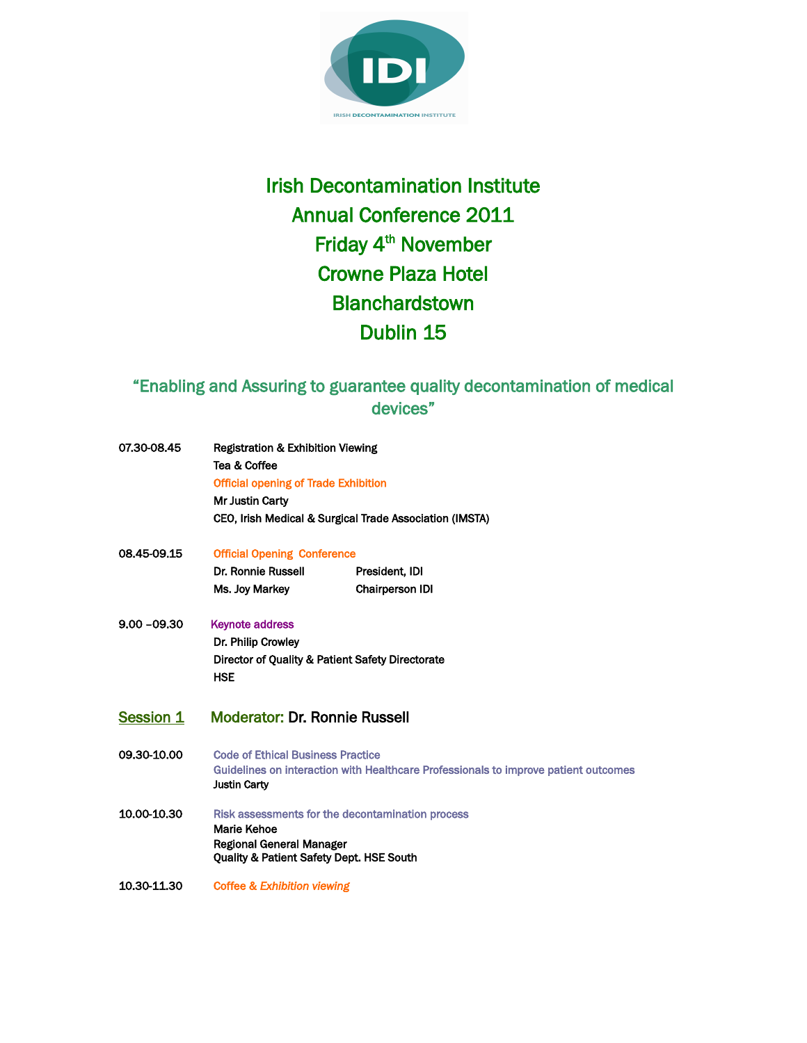

## Irish Decontamination Institute Annual Conference 2011 Friday 4<sup>th</sup> November Crowne Plaza Hotel Blanchardstown Dublin 15

## "Enabling and Assuring to guarantee quality decontamination of medical devices"

| 07.30-08.45      | <b>Registration &amp; Exhibition Viewing</b><br>Tea & Coffee<br><b>Official opening of Trade Exhibition</b><br><b>Mr Justin Carty</b>                  | CEO, Irish Medical & Surgical Trade Association (IMSTA) |
|------------------|--------------------------------------------------------------------------------------------------------------------------------------------------------|---------------------------------------------------------|
| 08.45-09.15      | <b>Official Opening Conference</b>                                                                                                                     |                                                         |
|                  | Dr. Ronnie Russell                                                                                                                                     | President, IDI                                          |
|                  | Ms. Joy Markey                                                                                                                                         | <b>Chairperson IDI</b>                                  |
| $9.00 - 09.30$   | <b>Keynote address</b><br>Dr. Philip Crowley<br>Director of Quality & Patient Safety Directorate<br><b>HSE</b>                                         |                                                         |
| <b>Session 1</b> | <b>Moderator: Dr. Ronnie Russell</b>                                                                                                                   |                                                         |
| 09.30-10.00      | <b>Code of Ethical Business Practice</b><br>Guidelines on interaction with Healthcare Professionals to improve patient outcomes<br><b>Justin Carty</b> |                                                         |
| 10.00-10.30      | Risk assessments for the decontamination process<br><b>Marie Kehoe</b><br>Regional General Manager<br>Quality & Patient Safety Dept. HSE South         |                                                         |
| 10.30-11.30      | Coffee & Exhibition viewing                                                                                                                            |                                                         |